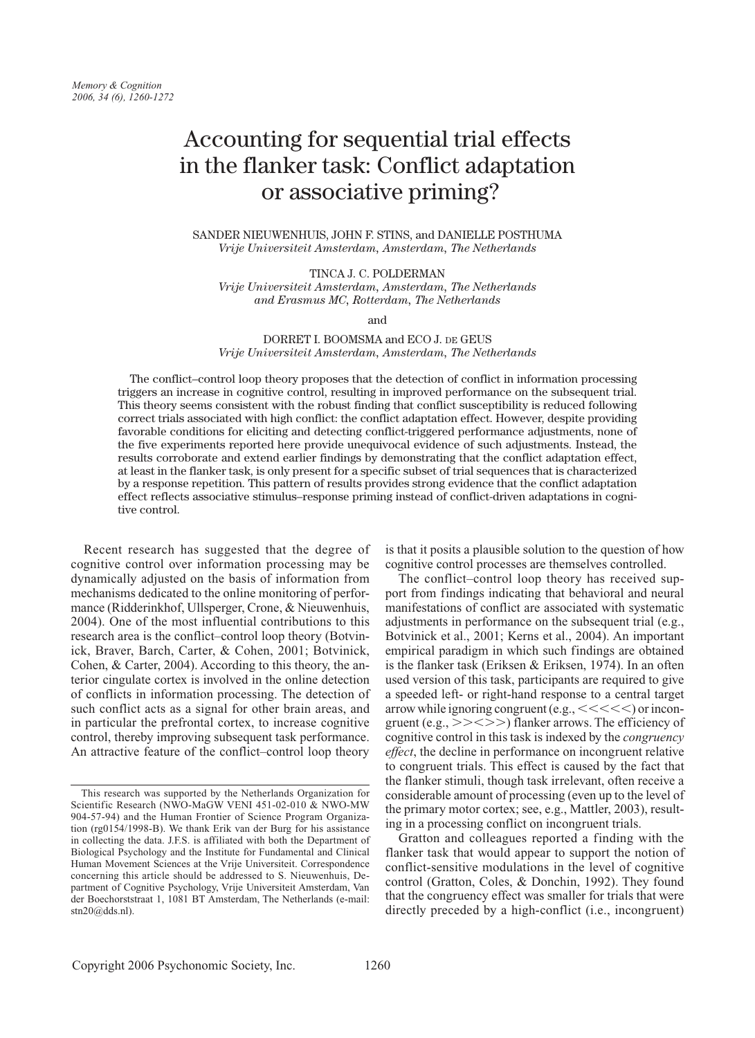# Accounting for sequential trial effects in the flanker task: Conflict adaptation or associative priming?

# SANDER NIEUWENHUIS, JOHN F. STINS, and DANIELLE POSTHUMA Vrije Universiteit Amsterdam, Amsterdam, The Netherlands

#### TINCA J. C. POLDERMAN

Vrije Universiteit Amsterdam, Amsterdam, The Netherlands and Erasmus MC, Rotterdam, The Netherlands

and

DORRET I. BOOMSMA and ECO J. DE GEUS Vrije Universiteit Amsterdam, Amsterdam, The Netherlands

The conflict-control loop theory proposes that the detection of conflict in information processing triggers an increase in cognitive control, resulting in improved performance on the subsequent trial. This theory seems consistent with the robust finding that conflict susceptibility is reduced following correct trials associated with high conflict: the conflict adaptation effect. However, despite providing favorable conditions for eliciting and detecting conflict-triggered performance adjustments, none of the five experiments reported here provide unequivocal evidence of such adjustments. Instead, the results corroborate and extend earlier findings by demonstrating that the conflict adaptation effect, at least in the flanker task, is only present for a specific subset of trial sequences that is characterized by a response repetition. This pattern of results provides strong evidence that the conflict adaptation effect reflects associative stimulus–response priming instead of conflict-driven adaptations in cognitive control.

Recent research has suggested that the degree of cognitive control over information processing may be dynamically adjusted on the basis of information from mechanisms dedicated to the online monitoring of performance (Ridderinkhof, Ullsperger, Crone, & Nieuwenhuis, 2004). One of the most influential contributions to this research area is the conflict-control loop theory (Botvinick, Braver, Barch, Carter, & Cohen, 2001; Botvinick, Cohen, & Carter, 2004). According to this theory, the anterior cingulate cortex is involved in the online detection of conflicts in information processing. The detection of such conflict acts as a signal for other brain areas, and in particular the prefrontal cortex, to increase cognitive control, thereby improving subsequent task performance. An attractive feature of the conflict-control loop theory

is that it posits a plausible solution to the question of how cognitive control processes are themselves controlled.

The conflict-control loop theory has received support from findings indicating that behavioral and neural manifestations of conflict are associated with systematic adjustments in performance on the subsequent trial (e.g., Botvinick et al., 2001; Kerns et al., 2004). An important empirical paradigm in which such findings are obtained is the flanker task (Eriksen & Eriksen, 1974). In an often used version of this task, participants are required to give a speeded left- or right-hand response to a central target arrow while ignoring congruent (e.g.,  $<<<<$ ) or incongruent (e.g.,  $>>>>$ ) flanker arrows. The efficiency of cognitive control in this task is indexed by the *congruency effect*, the decline in performance on incongruent relative to congruent trials. This effect is caused by the fact that the flanker stimuli, though task irrelevant, often receive a considerable amount of processing (even up to the level of the primary motor cortex; see, e.g., Mattler, 2003), resulting in a processing conflict on incongruent trials.

Gratton and colleagues reported a finding with the flanker task that would appear to support the notion of conflict-sensitive modulations in the level of cognitive control (Gratton, Coles, & Donchin, 1992). They found that the congruency effect was smaller for trials that were directly preceded by a high-conflict (*i.e.*, incongruent)

This research was supported by the Netherlands Organization for Scientific Research (NWO-MaGW VENI 451-02-010 & NWO-MW 904-57-94) and the Human Frontier of Science Program Organization (rg0154/1998-B). We thank Erik van der Burg for his assistance in collecting the data. J.F.S. is affiliated with both the Department of Biological Psychology and the Institute for Fundamental and Clinical Human Movement Sciences at the Vrije Universiteit. Correspondence concerning this article should be addressed to S. Nieuwenhuis, Department of Cognitive Psychology, Vrije Universiteit Amsterdam, Van der Boechorststraat 1, 1081 BT Amsterdam, The Netherlands (e-mail:  $str20$  ( $\omega$ dds.nl).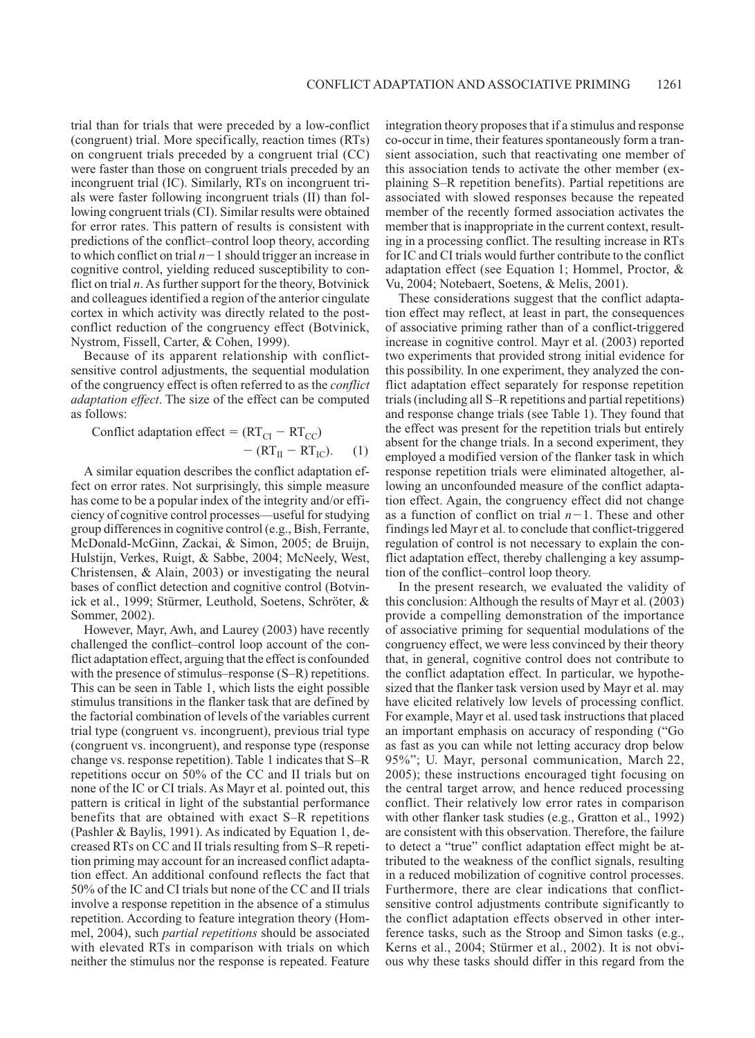trial than for trials that were preceded by a low-conflict (congruent) trial. More specifically, reaction times (RTs) on congruent trials preceded by a congruent trial (CC) were faster than those on congruent trials preceded by an incongruent trial (IC). Similarly, RTs on incongruent trials were faster following incongruent trials (II) than following congruent trials (CI). Similar results were obtained for error rates. This pattern of results is consistent with predictions of the conflict-control loop theory, according to which conflict on trial  $n-1$  should trigger an increase in cognitive control, yielding reduced susceptibility to conflict on trial  $n$ . As further support for the theory, Botvinick and colleagues identified a region of the anterior cingulate cortex in which activity was directly related to the postconflict reduction of the congruency effect (Botvinick, Nystrom, Fissell, Carter, & Cohen, 1999).

Because of its apparent relationship with conflictsensitive control adjustments, the sequential modulation of the congruency effect is often referred to as the *conflict adaptation effect*. The size of the effect can be computed as follows:

$$
\text{Conflict adaptation effect} = (\text{RT}_{\text{CI}} - \text{RT}_{\text{CC}}) - (\text{RT}_{\text{II}} - \text{RT}_{\text{IC}}). \tag{1}
$$

A similar equation describes the conflict adaptation effect on error rates. Not surprisingly, this simple measure has come to be a popular index of the integrity and/or efficiency of cognitive control processes—useful for studying group differences in cognitive control (e.g., Bish, Ferrante, McDonald-McGinn, Zackai, & Simon, 2005; de Bruijn, Hulstijn, Verkes, Ruigt, & Sabbe, 2004; McNeely, West, Christensen,  $\&$  Alain, 2003) or investigating the neural bases of conflict detection and cognitive control (Botvinick et al., 1999; Stürmer, Leuthold, Soetens, Schröter, & Sommer, 2002).

However, Mayr, Awh, and Laurey (2003) have recently challenged the conflict-control loop account of the conflict adaptation effect, arguing that the effect is confounded with the presence of stimulus–response  $(S-R)$  repetitions. This can be seen in Table 1, which lists the eight possible stimulus transitions in the flanker task that are defined by the factorial combination of levels of the variables current trial type (congruent vs. incongruent), previous trial type (congruent vs. incongruent), and response type (response change vs. response repetition). Table 1 indicates that S-R repetitions occur on 50% of the CC and II trials but on none of the IC or CI trials. As Mayr et al. pointed out, this pattern is critical in light of the substantial performance benefits that are obtained with exact S–R repetitions (Pashler & Baylis, 1991). As indicated by Equation 1, decreased RTs on CC and II trials resulting from S-R repetition priming may account for an increased conflict adaptation effect. An additional confound reflects the fact that 50% of the IC and CI trials but none of the CC and II trials involve a response repetition in the absence of a stimulus repetition. According to feature integration theory (Hommel, 2004), such *partial repetitions* should be associated with elevated RTs in comparison with trials on which neither the stimulus nor the response is repeated. Feature

integration theory proposes that if a stimulus and response co-occur in time, their features spontaneously form a transient association, such that reactivating one member of this association tends to activate the other member (explaining S-R repetition benefits). Partial repetitions are associated with slowed responses because the repeated member of the recently formed association activates the member that is inappropriate in the current context, resulting in a processing conflict. The resulting increase in RTs for IC and CI trials would further contribute to the conflict adaptation effect (see Equation 1; Hommel, Proctor, & Vu, 2004; Notebaert, Soetens, & Melis, 2001).

These considerations suggest that the conflict adaptation effect may reflect, at least in part, the consequences of associative priming rather than of a conflict-triggered increase in cognitive control. Mayr et al. (2003) reported two experiments that provided strong initial evidence for this possibility. In one experiment, they analyzed the conflict adaptation effect separately for response repetition trials (including all S–R repetitions and partial repetitions) and response change trials (see Table 1). They found that the effect was present for the repetition trials but entirely absent for the change trials. In a second experiment, they employed a modified version of the flanker task in which response repetition trials were eliminated altogether, allowing an unconfounded measure of the conflict adaptation effect. Again, the congruency effect did not change as a function of conflict on trial  $n-1$ . These and other findings led Mayr et al. to conclude that conflict-triggered regulation of control is not necessary to explain the conflict adaptation effect, thereby challenging a key assumption of the conflict-control loop theory.

In the present research, we evaluated the validity of this conclusion: Although the results of Mayr et al. (2003) provide a compelling demonstration of the importance of associative priming for sequential modulations of the congruency effect, we were less convinced by their theory that, in general, cognitive control does not contribute to the conflict adaptation effect. In particular, we hypothesized that the flanker task version used by Mayr et al. may have elicited relatively low levels of processing conflict. For example, Mayr et al. used task instructions that placed an important emphasis on accuracy of responding ("Go as fast as you can while not letting accuracy drop below 95%"; U. Mayr, personal communication, March 22, 2005); these instructions encouraged tight focusing on the central target arrow, and hence reduced processing conflict. Their relatively low error rates in comparison with other flanker task studies (e.g., Gratton et al., 1992) are consistent with this observation. Therefore, the failure to detect a "true" conflict adaptation effect might be attributed to the weakness of the conflict signals, resulting in a reduced mobilization of cognitive control processes. Furthermore, there are clear indications that conflictsensitive control adjustments contribute significantly to the conflict adaptation effects observed in other interference tasks, such as the Stroop and Simon tasks (e.g., Kerns et al., 2004; Stürmer et al., 2002). It is not obvious why these tasks should differ in this regard from the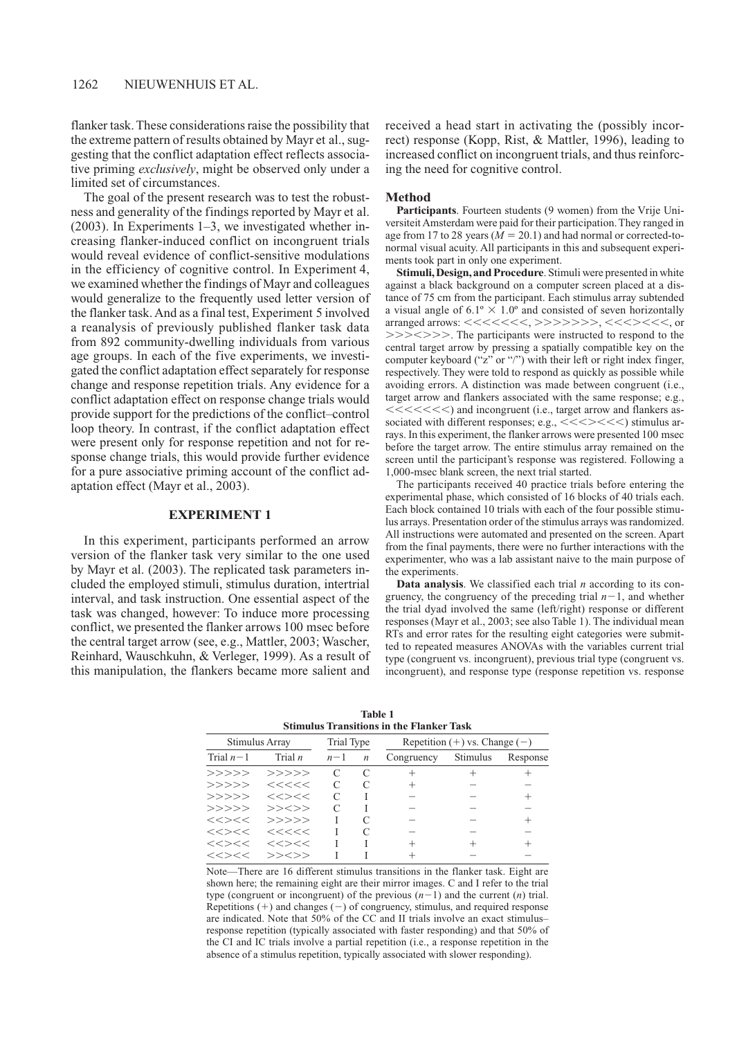flanker task. These considerations raise the possibility that the extreme pattern of results obtained by Mayr et al., suggesting that the conflict adaptation effect reflects associative priming exclusively, might be observed only under a limited set of circumstances.

The goal of the present research was to test the robustness and generality of the findings reported by Mayr et al.  $(2003)$ . In Experiments 1–3, we investigated whether increasing flanker-induced conflict on incongruent trials would reveal evidence of conflict-sensitive modulations in the efficiency of cognitive control. In Experiment 4, we examined whether the findings of Mayr and colleagues would generalize to the frequently used letter version of the flanker task. And as a final test, Experiment 5 involved a reanalysis of previously published flanker task data from 892 community-dwelling individuals from various age groups. In each of the five experiments, we investigated the conflict adaptation effect separately for response change and response repetition trials. Any evidence for a conflict adaptation effect on response change trials would provide support for the predictions of the conflict-control loop theory. In contrast, if the conflict adaptation effect were present only for response repetition and not for response change trials, this would provide further evidence for a pure associative priming account of the conflict adaptation effect (Mayr et al., 2003).

## **EXPERIMENT 1**

In this experiment, participants performed an arrow version of the flanker task very similar to the one used by Mayr et al. (2003). The replicated task parameters included the employed stimuli, stimulus duration, intertrial interval, and task instruction. One essential aspect of the task was changed, however: To induce more processing conflict, we presented the flanker arrows 100 msec before the central target arrow (see, e.g., Mattler, 2003; Wascher, Reinhard, Wauschkuhn, & Verleger, 1999). As a result of this manipulation, the flankers became more salient and

received a head start in activating the (possibly incorrect) response (Kopp, Rist, & Mattler, 1996), leading to increased conflict on incongruent trials, and thus reinforcing the need for cognitive control.

# **Method**

Participants. Fourteen students (9 women) from the Vrije Universiteit Amsterdam were paid for their participation. They ranged in age from 17 to 28 years ( $M = 20.1$ ) and had normal or corrected-tonormal visual acuity. All participants in this and subsequent experiments took part in only one experiment.

Stimuli, Design, and Procedure. Stimuli were presented in white against a black background on a computer screen placed at a distance of 75 cm from the participant. Each stimulus array subtended a visual angle of  $6.1^\circ \times 1.0^\circ$  and consisted of seven horizontally central target arrow by pressing a spatially compatible key on the computer keyboard ("z" or "/") with their left or right index finger, respectively. They were told to respond as quickly as possible while avoiding errors. A distinction was made between congruent (i.e., target arrow and flankers associated with the same response; e.g.,  $<<<<<$ ) and incongruent (i.e., target arrow and flankers associated with different responses; e.g.,  $\langle \langle \langle \rangle \rangle \langle \langle \rangle \rangle$  stimulus arravs. In this experiment, the flanker arrows were presented 100 msec before the target arrow. The entire stimulus array remained on the screen until the participant's response was registered. Following a 1,000-msec blank screen, the next trial started.

The participants received 40 practice trials before entering the experimental phase, which consisted of 16 blocks of 40 trials each. Each block contained 10 trials with each of the four possible stimulus arrays. Presentation order of the stimulus arrays was randomized. All instructions were automated and presented on the screen. Apart from the final payments, there were no further interactions with the experimenter, who was a lab assistant naive to the main purpose of the experiments.

**Data analysis.** We classified each trial  $n$  according to its congruency, the congruency of the preceding trial  $n-1$ , and whether the trial dyad involved the same (left/right) response or different responses (Mayr et al., 2003; see also Table 1). The individual mean RTs and error rates for the resulting eight categories were submitted to repeated measures ANOVAs with the variables current trial type (congruent vs. incongruent), previous trial type (congruent vs. incongruent), and response type (response repetition vs. response

| Sumulus II ansitions in the Fianker Task |             |            |                  |                                   |          |          |  |  |  |  |  |
|------------------------------------------|-------------|------------|------------------|-----------------------------------|----------|----------|--|--|--|--|--|
| Stimulus Array                           |             | Trial Type |                  | Repetition $(+)$ vs. Change $(-)$ |          |          |  |  |  |  |  |
| Trial $n-1$                              | Trial $n$   | $n-1$      | $\boldsymbol{n}$ | Congruency                        | Stimulus | Response |  |  |  |  |  |
| >>>>>                                    | >>>>>       |            |                  |                                   |          |          |  |  |  |  |  |
| >>>>>                                    | <<<<<       |            |                  |                                   |          |          |  |  |  |  |  |
| >>>>>                                    | $<<$ > $<<$ |            |                  |                                   |          | $^+$     |  |  |  |  |  |
| >>>>>                                    | >><>>       |            |                  |                                   |          |          |  |  |  |  |  |
| $<<$ > $<<$                              | >>>>>       |            |                  |                                   |          | $^+$     |  |  |  |  |  |
| $<<$ > $<<$                              | <<<<        |            |                  |                                   |          |          |  |  |  |  |  |
| $<<$ > $<<$                              | $<<$ > $<<$ |            |                  |                                   |          |          |  |  |  |  |  |
|                                          | ートトイトト      |            |                  |                                   |          |          |  |  |  |  |  |

Table 1 Stimulus Transitions in the Flanker Took

Note—There are 16 different stimulus transitions in the flanker task. Eight are shown here; the remaining eight are their mirror images. C and I refer to the trial type (congruent or incongruent) of the previous  $(n-1)$  and the current  $(n)$  trial. Repetitions  $(+)$  and changes  $(-)$  of congruency, stimulus, and required response are indicated. Note that 50% of the CC and II trials involve an exact stimulusresponse repetition (typically associated with faster responding) and that 50% of the CI and IC trials involve a partial repetition (i.e., a response repetition in the absence of a stimulus repetition, typically associated with slower responding).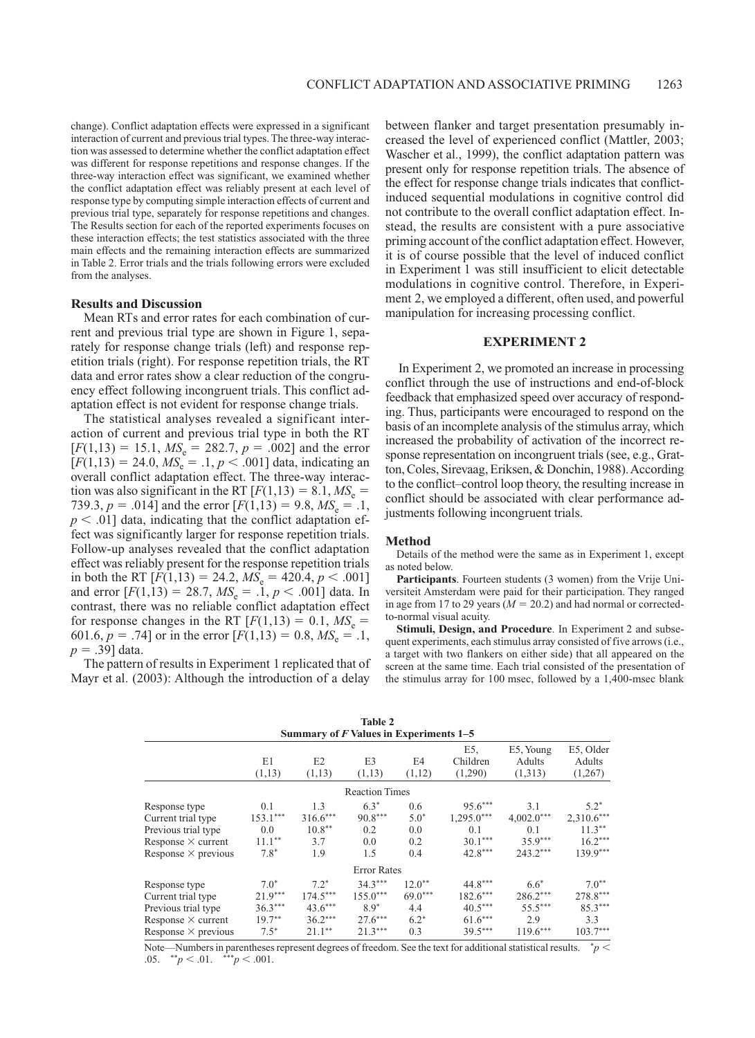change). Conflict adaptation effects were expressed in a significant interaction of current and previous trial types. The three-way interaction was assessed to determine whether the conflict adaptation effect was different for response repetitions and response changes. If the three-way interaction effect was significant, we examined whether the conflict adaptation effect was reliably present at each level of response type by computing simple interaction effects of current and previous trial type, separately for response repetitions and changes. The Results section for each of the reported experiments focuses on these interaction effects; the test statistics associated with the three main effects and the remaining interaction effects are summarized in Table 2. Error trials and the trials following errors were excluded from the analyses.

## **Results and Discussion**

Mean RTs and error rates for each combination of current and previous trial type are shown in Figure 1, separately for response change trials (left) and response repetition trials (right). For response repetition trials, the RT data and error rates show a clear reduction of the congruency effect following incongruent trials. This conflict adaptation effect is not evident for response change trials.

The statistical analyses revealed a significant interaction of current and previous trial type in both the RT  $[F(1,13) = 15.1, M S_e = 282.7, p = .002]$  and the error  $[F(1,13) = 24.0, MS_e = .1, p < .001]$  data, indicating an overall conflict adaptation effect. The three-way interaction was also significant in the RT [ $F(1,13) = 8.1$ ,  $MS_e =$ 739.3,  $p = .014$ ] and the error  $[F(1,13) = 9.8, MS_e = .1,$  $p < .01$ ] data, indicating that the conflict adaptation effect was significantly larger for response repetition trials. Follow-up analyses revealed that the conflict adaptation effect was reliably present for the response repetition trials in both the RT  $[F(1,13) = 24.2, MS_e = 420.4, p < .001]$ and error  $[F(1,13) = 28.7, M S_e = .1, p < .001]$  data. In contrast, there was no reliable conflict adaptation effect for response changes in the RT  $[F(1,13) = 0.1, MS_e =$ 601.6,  $p = .74$  or in the error  $[F(1,13) = 0.8, MS_e = .1,$  $p = .39$ ] data.

The pattern of results in Experiment 1 replicated that of Mayr et al. (2003): Although the introduction of a delay

between flanker and target presentation presumably increased the level of experienced conflict (Mattler, 2003; Wascher et al., 1999), the conflict adaptation pattern was present only for response repetition trials. The absence of the effect for response change trials indicates that conflictinduced sequential modulations in cognitive control did not contribute to the overall conflict adaptation effect. Instead, the results are consistent with a pure associative priming account of the conflict adaptation effect. However, it is of course possible that the level of induced conflict in Experiment 1 was still insufficient to elicit detectable modulations in cognitive control. Therefore, in Experiment 2, we employed a different, often used, and powerful manipulation for increasing processing conflict.

## **EXPERIMENT 2**

In Experiment 2, we promoted an increase in processing conflict through the use of instructions and end-of-block feedback that emphasized speed over accuracy of responding. Thus, participants were encouraged to respond on the basis of an incomplete analysis of the stimulus array, which increased the probability of activation of the incorrect response representation on incongruent trials (see, e.g., Gratton, Coles, Sirevaag, Eriksen, & Donchin, 1988). According to the conflict-control loop theory, the resulting increase in conflict should be associated with clear performance adjustments following incongruent trials.

#### **Method**

Details of the method were the same as in Experiment 1, except as noted below

Participants. Fourteen students (3 women) from the Vrije Universiteit Amsterdam were paid for their participation. They ranged in age from 17 to 29 years ( $M = 20.2$ ) and had normal or correctedto-normal visual acuity.

Stimuli, Design, and Procedure. In Experiment 2 and subsequent experiments, each stimulus array consisted of five arrows (i.e., a target with two flankers on either side) that all appeared on the screen at the same time. Each trial consisted of the presentation of the stimulus array for 100 msec, followed by a 1,400-msec blank

|                                        |            |                | <b>Table 2</b>        |           |              |              |              |  |  |  |  |  |
|----------------------------------------|------------|----------------|-----------------------|-----------|--------------|--------------|--------------|--|--|--|--|--|
| Summary of F Values in Experiments 1-5 |            |                |                       |           |              |              |              |  |  |  |  |  |
|                                        |            |                |                       |           | E5,          | E5, Young    | E5, Older    |  |  |  |  |  |
|                                        | E1         | E <sub>2</sub> | E3                    | E4        | Children     | Adults       | Adults       |  |  |  |  |  |
|                                        | (1,13)     | (1,13)         | (1,13)                | (1,12)    | (1,290)      | (1,313)      | (1,267)      |  |  |  |  |  |
|                                        |            |                | <b>Reaction Times</b> |           |              |              |              |  |  |  |  |  |
| Response type                          | 0.1        | 1.3            | $6.3*$                | 0.6       | $95.6***$    | 3.1          | $5.2*$       |  |  |  |  |  |
| Current trial type                     | $153.1***$ | $316.6***$     | 90.8***               | $5.0*$    | $1,295.0***$ | $4,002.0***$ | $2,310.6***$ |  |  |  |  |  |
| Previous trial type                    | 0.0        | $10.8**$       | 0.2                   | 0.0       | 0.1          | 0.1          | $11.3***$    |  |  |  |  |  |
| Response $\times$ current              | $11.1***$  | 3.7            | 0.0                   | 0.2       | $30.1***$    | $35.9***$    | $16.2***$    |  |  |  |  |  |
| Response $\times$ previous             | $7.8*$     | 1.9            | 1.5                   | 0.4       | $42.8***$    | $243.2***$   | 139.9***     |  |  |  |  |  |
|                                        |            |                | <b>Error Rates</b>    |           |              |              |              |  |  |  |  |  |
| Response type                          | $7.0*$     | $7.2*$         | $34.3***$             | $12.0**$  | $44.8***$    | $6.6*$       | $7.0**$      |  |  |  |  |  |
| Current trial type                     | $21.9***$  | $174.5***$     | $155.0***$            | $69.0***$ | $182.6***$   | $286.2***$   | 278.8***     |  |  |  |  |  |
| Previous trial type                    | $36.3***$  | $43.6***$      | $8.9*$                | 4.4       | $40.5***$    | $55.5***$    | $85.3***$    |  |  |  |  |  |
| Response $\times$ current              | $19.7***$  | $36.2***$      | $27.6***$             | $6.2*$    | $61.6***$    | 2.9          | 3.3          |  |  |  |  |  |
| Response $\times$ previous             | $7.5*$     | $21.1***$      | $21.3***$             | 0.3       | $39.5***$    | $119.6***$   | $103.7***$   |  |  |  |  |  |

Note—Numbers in parentheses represent degrees of freedom. See the text for additional statistical results.  $p <$ .05.  $^{\ast\ast}p < .01$ .  $^{\ast\ast\ast}p < .001$ .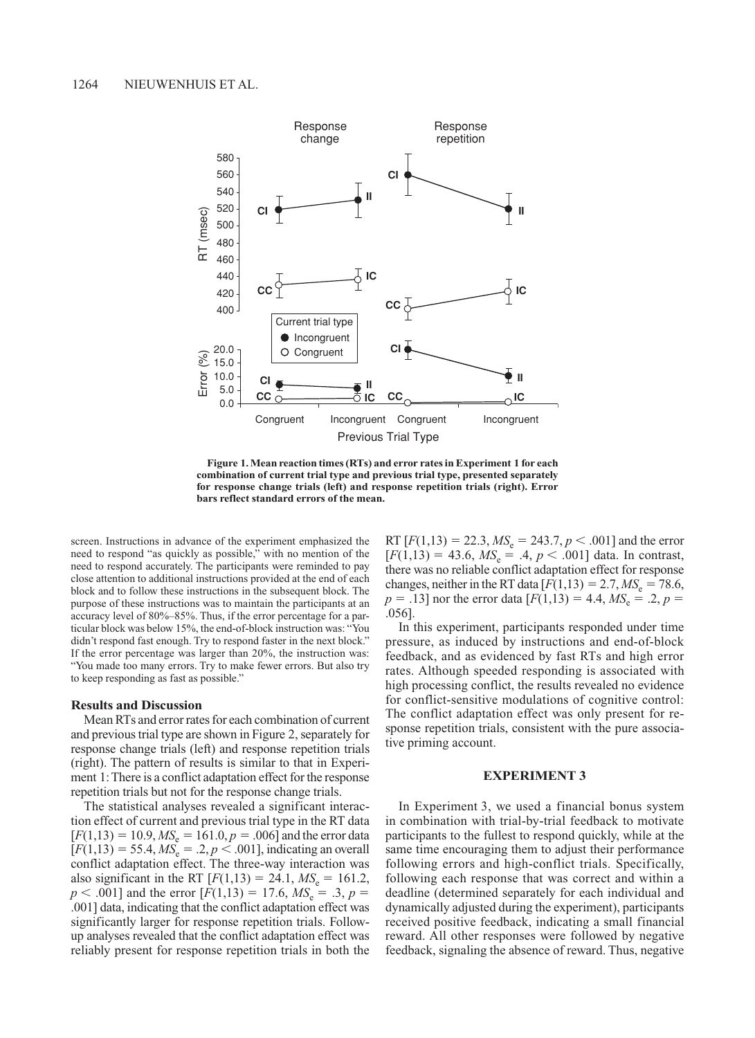

Figure 1. Mean reaction times (RTs) and error rates in Experiment 1 for each combination of current trial type and previous trial type, presented separately for response change trials (left) and response repetition trials (right). Error bars reflect standard errors of the mean.

screen. Instructions in advance of the experiment emphasized the need to respond "as quickly as possible," with no mention of the need to respond accurately. The participants were reminded to pay close attention to additional instructions provided at the end of each block and to follow these instructions in the subsequent block. The purpose of these instructions was to maintain the participants at an accuracy level of 80%–85%. Thus, if the error percentage for a particular block was below 15%, the end-of-block instruction was: "You didn't respond fast enough. Try to respond faster in the next block." If the error percentage was larger than 20%, the instruction was: "You made too many errors. Try to make fewer errors. But also try to keep responding as fast as possible."

## **Results and Discussion**

Mean RTs and error rates for each combination of current and previous trial type are shown in Figure 2, separately for response change trials (left) and response repetition trials (right). The pattern of results is similar to that in Experiment 1: There is a conflict adaptation effect for the response repetition trials but not for the response change trials.

The statistical analyses revealed a significant interaction effect of current and previous trial type in the RT data  $[F(1,13) = 10.9, MS_e = 161.0, p = .006]$  and the error data  $[F(1,13) = 55.4, MS_e = .2, p < .001]$ , indicating an overall conflict adaptation effect. The three-way interaction was also significant in the RT  $[F(1,13) = 24.1, MS_e = 161.2,$  $p < .001$ ] and the error  $[F(1,13) = 17.6, MS_e = .3, p =$ .001] data, indicating that the conflict adaptation effect was significantly larger for response repetition trials. Followup analyses revealed that the conflict adaptation effect was reliably present for response repetition trials in both the

RT [ $F(1,13) = 22.3$ ,  $MS_e = 243.7$ ,  $p < .001$ ] and the error  $[F(1,13) = 43.6, MS_e = .4, p < .001]$  data. In contrast, there was no reliable conflict adaptation effect for response changes, neither in the RT data  $[F(1,13) = 2.7, MS_{\circ} = 78.6,$  $p = .13$ ] nor the error data  $[F(1,13) = 4.4, MS_e = .2, p =$  $.056$ ].

In this experiment, participants responded under time pressure, as induced by instructions and end-of-block feedback, and as evidenced by fast RTs and high error rates. Although speeded responding is associated with high processing conflict, the results revealed no evidence for conflict-sensitive modulations of cognitive control: The conflict adaptation effect was only present for response repetition trials, consistent with the pure associative priming account.

## **EXPERIMENT 3**

In Experiment 3, we used a financial bonus system in combination with trial-by-trial feedback to motivate participants to the fullest to respond quickly, while at the same time encouraging them to adjust their performance following errors and high-conflict trials. Specifically, following each response that was correct and within a deadline (determined separately for each individual and dynamically adjusted during the experiment), participants received positive feedback, indicating a small financial reward. All other responses were followed by negative feedback, signaling the absence of reward. Thus, negative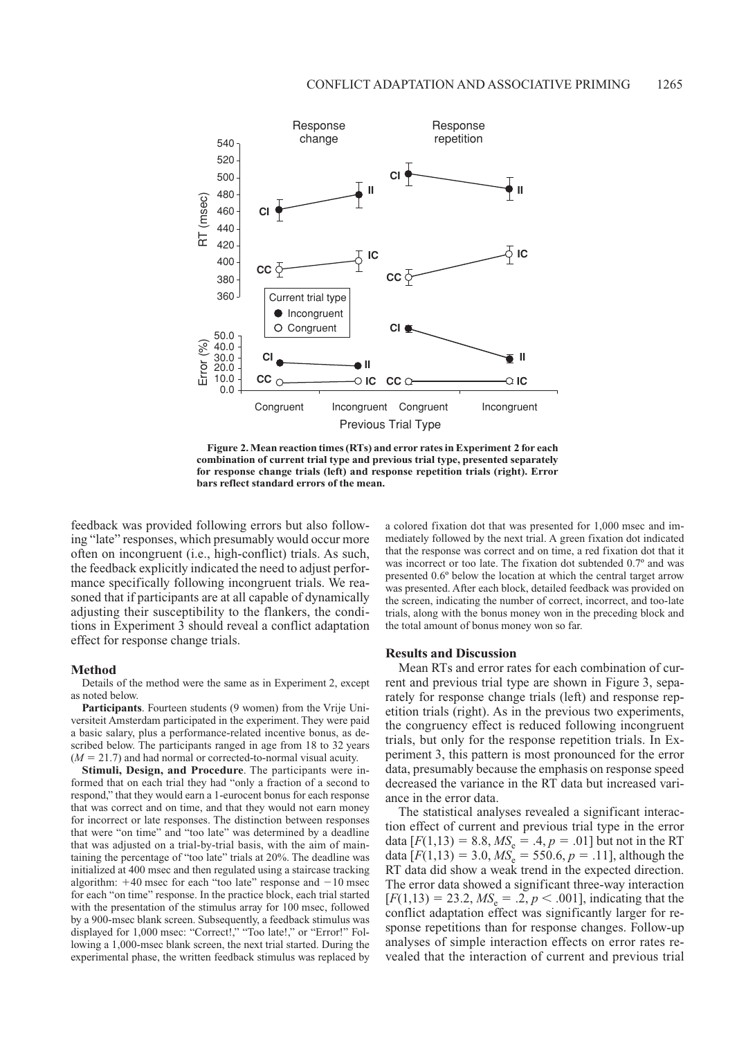

Figure 2. Mean reaction times (RTs) and error rates in Experiment 2 for each combination of current trial type and previous trial type, presented separately for response change trials (left) and response repetition trials (right). Error hars reflect standard errors of the mean.

feedback was provided following errors but also following "late" responses, which presumably would occur more often on incongruent (i.e., high-conflict) trials. As such, the feedback explicitly indicated the need to adjust performance specifically following incongruent trials. We reasoned that if participants are at all capable of dynamically adjusting their susceptibility to the flankers, the conditions in Experiment 3 should reveal a conflict adaptation effect for response change trials.

### **Method**

Details of the method were the same as in Experiment 2, except as noted below.

Participants. Fourteen students (9 women) from the Vrije Universiteit Amsterdam participated in the experiment. They were paid a basic salary, plus a performance-related incentive bonus, as described below. The participants ranged in age from 18 to 32 years  $(M = 21.7)$  and had normal or corrected-to-normal visual acuity.

Stimuli, Design, and Procedure. The participants were informed that on each trial they had "only a fraction of a second to respond," that they would earn a 1-eurocent bonus for each response that was correct and on time, and that they would not earn money for incorrect or late responses. The distinction between responses that were "on time" and "too late" was determined by a deadline that was adjusted on a trial-by-trial basis, with the aim of maintaining the percentage of "too late" trials at 20%. The deadline was initialized at 400 msec and then regulated using a staircase tracking algorithm:  $+40$  msec for each "too late" response and  $-10$  msec for each "on time" response. In the practice block, each trial started with the presentation of the stimulus array for 100 msec, followed by a 900-msec blank screen. Subsequently, a feedback stimulus was displayed for 1,000 msec: "Correct!," "Too late!," or "Error!" Following a 1,000-msec blank screen, the next trial started. During the experimental phase, the written feedback stimulus was replaced by

a colored fixation dot that was presented for 1,000 msec and immediately followed by the next trial. A green fixation dot indicated that the response was correct and on time, a red fixation dot that it was incorrect or too late. The fixation dot subtended 0.7° and was presented 0.6° below the location at which the central target arrow was presented. After each block, detailed feedback was provided on the screen, indicating the number of correct, incorrect, and too-late trials, along with the bonus money won in the preceding block and the total amount of bonus money won so far.

## **Results and Discussion**

Mean RTs and error rates for each combination of current and previous trial type are shown in Figure 3, separately for response change trials (left) and response repetition trials (right). As in the previous two experiments, the congruency effect is reduced following incongruent trials, but only for the response repetition trials. In Experiment 3, this pattern is most pronounced for the error data, presumably because the emphasis on response speed decreased the variance in the RT data but increased variance in the error data.

The statistical analyses revealed a significant interaction effect of current and previous trial type in the error data  $[F(1,13) = 8.8, MS_e = .4, p = .01]$  but not in the RT data  $[F(1,13) = 3.0, MS_e = 550.6, p = .11]$ , although the RT data did show a weak trend in the expected direction. The error data showed a significant three-way interaction  $[F(1,13) = 23.2, M S<sub>e</sub> = .2, p < .001]$ , indicating that the conflict adaptation effect was significantly larger for response repetitions than for response changes. Follow-up analyses of simple interaction effects on error rates revealed that the interaction of current and previous trial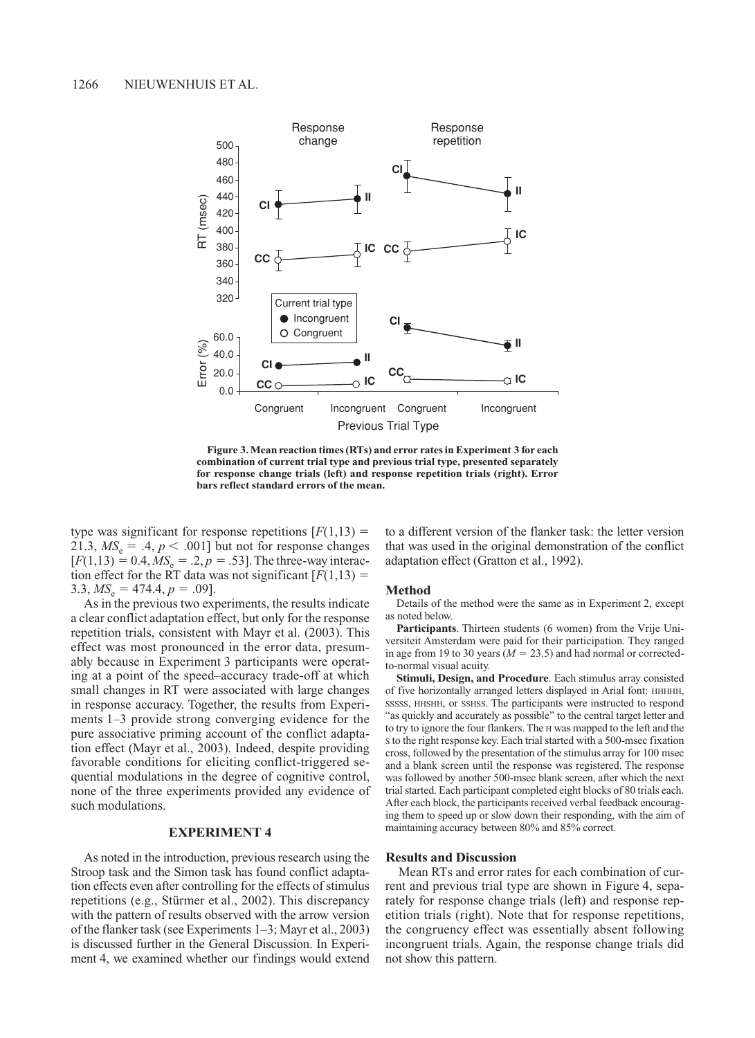

Figure 3. Mean reaction times (RTs) and error rates in Experiment 3 for each combination of current trial type and previous trial type, presented separately for response change trials (left) and response repetition trials (right). Error bars reflect standard errors of the mean.

type was significant for response repetitions  $[F(1,13) =$ 21.3,  $MS_e = .4$ ,  $p < .001$  but not for response changes  $[F(1,13) = 0.4, MS_e = .2, p = .53]$ . The three-way interaction effect for the RT data was not significant  $[F(1,13) =$ 3.3,  $MS_e = 474.4, p = .09$ .

As in the previous two experiments, the results indicate a clear conflict adaptation effect, but only for the response repetition trials, consistent with Mayr et al. (2003). This effect was most pronounced in the error data, presumably because in Experiment 3 participants were operating at a point of the speed-accuracy trade-off at which small changes in RT were associated with large changes in response accuracy. Together, the results from Experiments  $1-3$  provide strong converging evidence for the pure associative priming account of the conflict adaptation effect (Mayr et al., 2003). Indeed, despite providing favorable conditions for eliciting conflict-triggered sequential modulations in the degree of cognitive control, none of the three experiments provided any evidence of such modulations.

## **EXPERIMENT 4**

As noted in the introduction, previous research using the Stroop task and the Simon task has found conflict adaptation effects even after controlling for the effects of stimulus repetitions (e.g., Stürmer et al., 2002). This discrepancy with the pattern of results observed with the arrow version of the flanker task (see Experiments 1–3; Mayr et al., 2003) is discussed further in the General Discussion. In Experiment 4, we examined whether our findings would extend to a different version of the flanker task: the letter version that was used in the original demonstration of the conflict adaptation effect (Gratton et al., 1992).

#### **Method**

Details of the method were the same as in Experiment 2, except as noted below.

**Participants.** Thirteen students (6 women) from the Vrije Universiteit Amsterdam were paid for their participation. They ranged in age from 19 to 30 years ( $M = 23.5$ ) and had normal or correctedto-normal visual acuity.

Stimuli, Design, and Procedure. Each stimulus array consisted of five horizontally arranged letters displayed in Arial font: HHHHH, SSSSS, HHSHH, or SSHSS. The participants were instructed to respond "as quickly and accurately as possible" to the central target letter and to try to ignore the four flankers. The H was mapped to the left and the s to the right response key. Each trial started with a 500-msec fixation cross, followed by the presentation of the stimulus array for 100 msec and a blank screen until the response was registered. The response was followed by another 500-msec blank screen, after which the next trial started. Each participant completed eight blocks of 80 trials each. After each block, the participants received verbal feedback encouraging them to speed up or slow down their responding, with the aim of maintaining accuracy between 80% and 85% correct.

## **Results and Discussion**

Mean RTs and error rates for each combination of current and previous trial type are shown in Figure 4, separately for response change trials (left) and response repetition trials (right). Note that for response repetitions, the congruency effect was essentially absent following incongruent trials. Again, the response change trials did not show this pattern.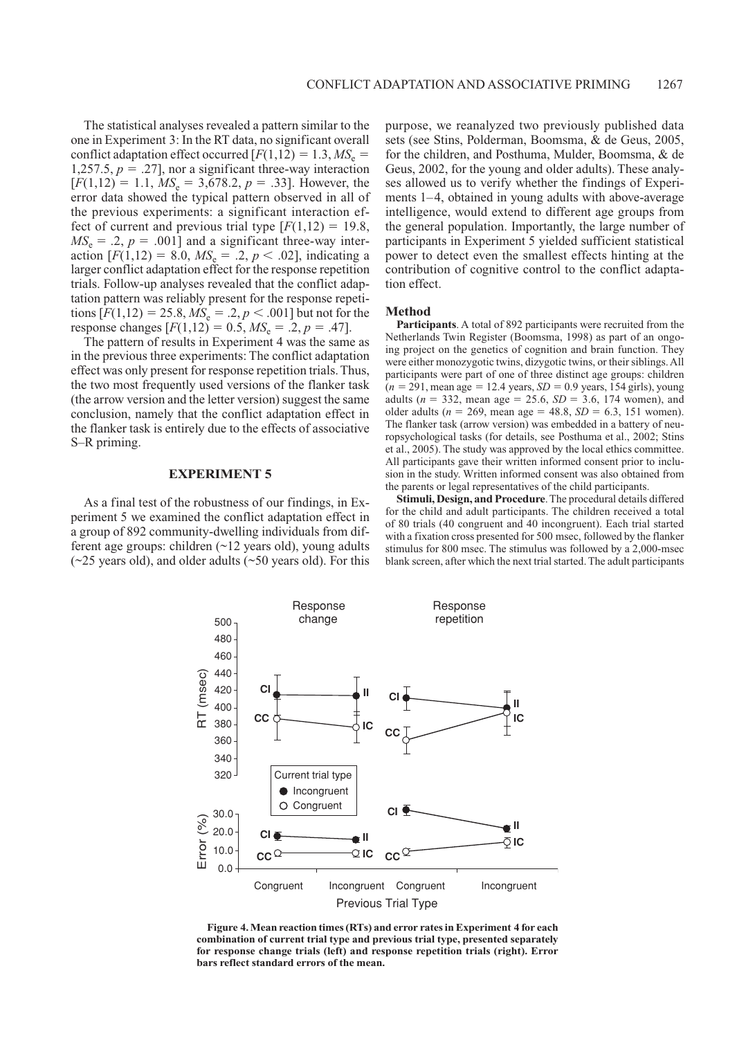The statistical analyses revealed a pattern similar to the one in Experiment 3: In the RT data, no significant overall conflict adaptation effect occurred  $[F(1,12) = 1.3, MS_e =$ 1,257.5,  $p = .27$ , nor a significant three-way interaction  $[F(1,12) = 1.1, MS_{\circ} = 3,678.2, p = .33]$ . However, the error data showed the typical pattern observed in all of the previous experiments: a significant interaction effect of current and previous trial type  $[F(1,12) = 19.8]$ ,  $MS_e = .2$ ,  $p = .001$ ] and a significant three-way interaction  $[F(1,12) = 8.0, MS_e = .2, p < .02]$ , indicating a larger conflict adaptation effect for the response repetition trials. Follow-up analyses revealed that the conflict adaptation pattern was reliably present for the response repetitions  $[F(1,12) = 25.8, MS_e = .2, p < .001]$  but not for the response changes  $[F(1,12) = 0.5, MS_e = .2, p = .47]$ .

The pattern of results in Experiment 4 was the same as in the previous three experiments: The conflict adaptation effect was only present for response repetition trials. Thus, the two most frequently used versions of the flanker task (the arrow version and the letter version) suggest the same conclusion, namely that the conflict adaptation effect in the flanker task is entirely due to the effects of associative S-R priming.

## **EXPERIMENT 5**

As a final test of the robustness of our findings, in Experiment 5 we examined the conflict adaptation effect in a group of 892 community-dwelling individuals from different age groups: children  $(\sim 12$  years old), young adults  $(\sim 25$  years old), and older adults ( $\sim 50$  years old). For this

purpose, we reanalyzed two previously published data sets (see Stins, Polderman, Boomsma, & de Geus, 2005, for the children, and Posthuma, Mulder, Boomsma, & de Geus, 2002, for the young and older adults). These analyses allowed us to verify whether the findings of Experiments 1-4, obtained in young adults with above-average intelligence, would extend to different age groups from the general population. Importantly, the large number of participants in Experiment 5 yielded sufficient statistical power to detect even the smallest effects hinting at the contribution of cognitive control to the conflict adaptation effect.

#### **Method**

Participants. A total of 892 participants were recruited from the Netherlands Twin Register (Boomsma, 1998) as part of an ongoing project on the genetics of cognition and brain function. They were either monozygotic twins, dizygotic twins, or their siblings. All participants were part of one of three distinct age groups: children  $(n = 291, \text{mean age} = 12.4 \text{ years}, SD = 0.9 \text{ years}, 154 \text{ girls}, \text{young}$ adults ( $n = 332$ , mean age = 25.6,  $SD = 3.6$ , 174 women), and older adults ( $n = 269$ , mean age = 48.8,  $SD = 6.3$ , 151 women). The flanker task (arrow version) was embedded in a battery of neuropsychological tasks (for details, see Posthuma et al., 2002; Stins et al., 2005). The study was approved by the local ethics committee. All participants gave their written informed consent prior to inclusion in the study. Written informed consent was also obtained from the parents or legal representatives of the child participants.

Stimuli, Design, and Procedure. The procedural details differed for the child and adult participants. The children received a total of 80 trials (40 congruent and 40 incongruent). Each trial started with a fixation cross presented for 500 msec, followed by the flanker stimulus for 800 msec. The stimulus was followed by a 2,000-msec blank screen, after which the next trial started. The adult participants



Figure 4. Mean reaction times (RTs) and error rates in Experiment 4 for each combination of current trial type and previous trial type, presented separately for response change trials (left) and response repetition trials (right). Error bars reflect standard errors of the mean.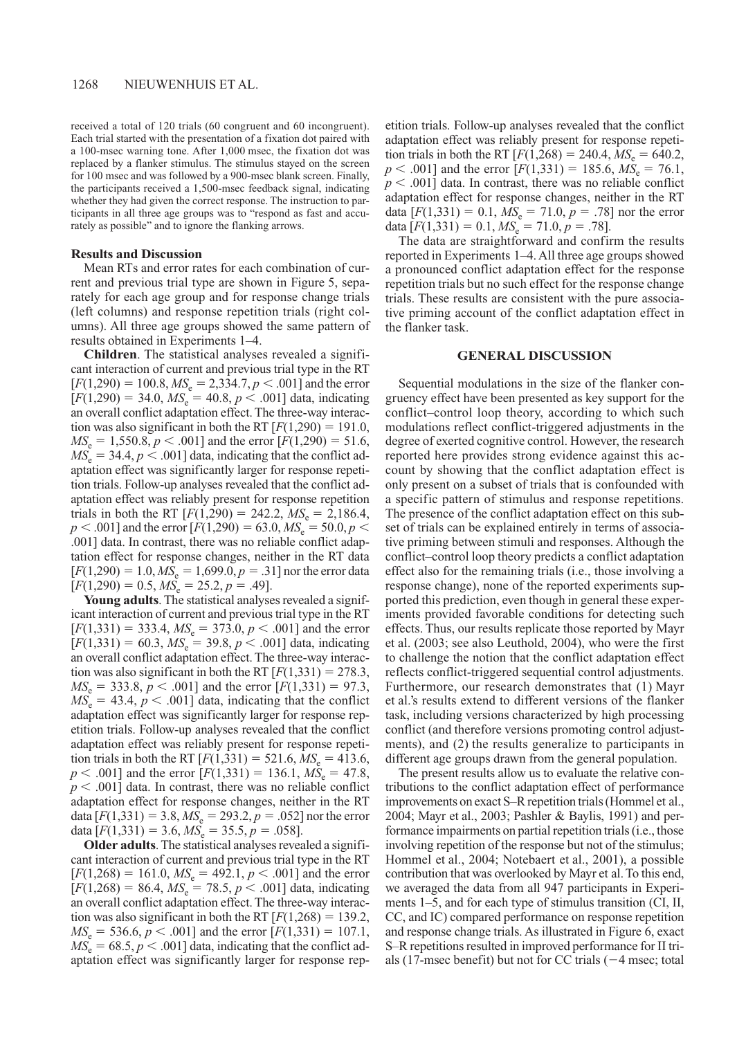received a total of 120 trials (60 congruent and 60 incongruent). Each trial started with the presentation of a fixation dot paired with a 100-msec warning tone. After 1,000 msec, the fixation dot was replaced by a flanker stimulus. The stimulus stayed on the screen for 100 msec and was followed by a 900-msec blank screen. Finally, the participants received a 1,500-msec feedback signal, indicating whether they had given the correct response. The instruction to participants in all three age groups was to "respond as fast and accurately as possible" and to ignore the flanking arrows.

## **Results and Discussion**

Mean RTs and error rates for each combination of current and previous trial type are shown in Figure 5, separately for each age group and for response change trials (left columns) and response repetition trials (right columns). All three age groups showed the same pattern of results obtained in Experiments 1-4.

Children. The statistical analyses revealed a significant interaction of current and previous trial type in the RT  $[F(1,290) = 100.8, MS_e = 2,334.7, p < .001]$  and the error  $[F(1,290) = 34.0, MS_e = 40.8, p < .001]$  data, indicating an overall conflict adaptation effect. The three-way interaction was also significant in both the RT  $[F(1,290) = 191.0]$ ,  $MS_e = 1,550.8, p < .001$  and the error  $[F(1,290) = 51.6,$  $MS_e = 34.4, p < .001$  data, indicating that the conflict adaptation effect was significantly larger for response repetition trials. Follow-up analyses revealed that the conflict adaptation effect was reliably present for response repetition trials in both the RT  $[F(1,290) = 242.2, MS_e = 2,186.4,$  $p < .001$ ] and the error  $[F(1,290) = 63.0, MS_e = 50.0, p <$ .001] data. In contrast, there was no reliable conflict adaptation effect for response changes, neither in the RT data  $[F(1,290) = 1.0, MS_e = 1,699.0, p = .31]$  nor the error data  $[F(1,290) = 0.5, MS_e = 25.2, p = .49].$ 

Young adults. The statistical analyses revealed a significant interaction of current and previous trial type in the RT  $[F(1,331) = 333.4, MS_e = 373.0, p < .001]$  and the error  $[F(1,331) = 60.3, MS_e = 39.8, p < .001]$  data, indicating an overall conflict adaptation effect. The three-way interaction was also significant in both the RT  $[F(1,331) = 278.3]$ ,  $MS_e = 333.8, p < .001$ ] and the error  $[F(1,331) = 97.3,$  $MS_e = 43.4, p < .001$  data, indicating that the conflict adaptation effect was significantly larger for response repetition trials. Follow-up analyses revealed that the conflict adaptation effect was reliably present for response repetition trials in both the RT  $[F(1,331) = 521.6, MS_e = 413.6,$  $p < .001$ ] and the error  $[F(1,331) = 136.1, M S_e = 47.8,$  $p < .001$ ] data. In contrast, there was no reliable conflict adaptation effect for response changes, neither in the RT data  $[F(1,331) = 3.8, MS_e = 293.2, p = .052]$  nor the error data  $[F(1,331) = 3.6, MS_e = 35.5, p = .058]$ .

Older adults. The statistical analyses revealed a significant interaction of current and previous trial type in the RT  $[F(1,268) = 161.0, M S_e = 492.1, p < .001]$  and the error  $[F(1,268) = 86.4, MS<sub>e</sub> = 78.5, p < .001]$  data, indicating an overall conflict adaptation effect. The three-way interaction was also significant in both the RT  $[F(1,268) = 139.2]$ ,  $MS_e = 536.6, p < .001$ ] and the error  $[F(1,331) = 107.1,$  $MS_e = 68.5, p < .001$  data, indicating that the conflict adaptation effect was significantly larger for response rep-

etition trials. Follow-up analyses revealed that the conflict adaptation effect was reliably present for response repetition trials in both the RT [ $F(1,268) = 240.4$ ,  $MS_e = 640.2$ ,  $p < .001$ ] and the error  $[F(1,331) = 185.6, M\bar{S}_e = 76.1,$  $p < .001$ ] data. In contrast, there was no reliable conflict adaptation effect for response changes, neither in the RT data  $[F(1,331) = 0.1, M S_e = 71.0, p = .78]$  nor the error data  $[F(1,331) = 0.1, MS_{\scriptscriptstyle{P}} = 71.0, p = .78]$ .

The data are straightforward and confirm the results reported in Experiments 1–4. All three age groups showed a pronounced conflict adaptation effect for the response repetition trials but no such effect for the response change trials. These results are consistent with the pure associative priming account of the conflict adaptation effect in the flanker task.

#### **GENERAL DISCUSSION**

Sequential modulations in the size of the flanker congruency effect have been presented as key support for the conflict-control loop theory, according to which such modulations reflect conflict-triggered adjustments in the degree of exerted cognitive control. However, the research reported here provides strong evidence against this account by showing that the conflict adaptation effect is only present on a subset of trials that is confounded with a specific pattern of stimulus and response repetitions. The presence of the conflict adaptation effect on this subset of trials can be explained entirely in terms of associative priming between stimuli and responses. Although the conflict-control loop theory predicts a conflict adaptation effect also for the remaining trials (i.e., those involving a response change), none of the reported experiments supported this prediction, even though in general these experiments provided favorable conditions for detecting such effects. Thus, our results replicate those reported by Mayr et al. (2003; see also Leuthold, 2004), who were the first to challenge the notion that the conflict adaptation effect reflects conflict-triggered sequential control adjustments. Furthermore, our research demonstrates that (1) Mayr et al.'s results extend to different versions of the flanker task, including versions characterized by high processing conflict (and therefore versions promoting control adjustments), and (2) the results generalize to participants in different age groups drawn from the general population.

The present results allow us to evaluate the relative contributions to the conflict adaptation effect of performance improvements on exact S–R repetition trials (Hommel et al., 2004; Mayr et al., 2003; Pashler & Baylis, 1991) and performance impairments on partial repetition trials (i.e., those involving repetition of the response but not of the stimulus; Hommel et al., 2004; Notebaert et al., 2001), a possible contribution that was overlooked by Mayr et al. To this end, we averaged the data from all 947 participants in Experiments  $1-5$ , and for each type of stimulus transition (CI, II, CC, and IC) compared performance on response repetition and response change trials. As illustrated in Figure 6, exact S-R repetitions resulted in improved performance for II trials (17-msec benefit) but not for CC trials  $(-4 \text{ msec}; \text{total})$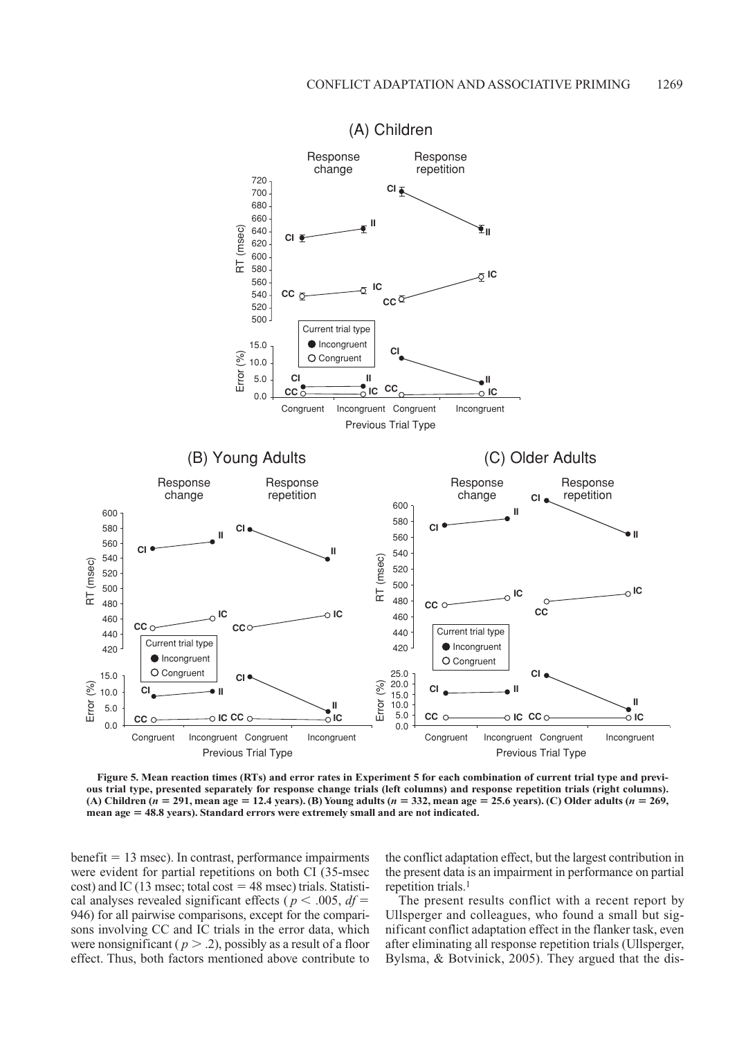

Figure 5. Mean reaction times (RTs) and error rates in Experiment 5 for each combination of current trial type and previous trial type, presented separately for response change trials (left columns) and response repetition trials (right columns). (A) Children ( $n = 291$ , mean age = 12.4 years). (B) Young adults ( $n = 332$ , mean age = 25.6 years). (C) Older adults ( $n = 269$ , mean age  $= 48.8$  years). Standard errors were extremely small and are not indicated.

 $benefit = 13$  msec). In contrast, performance impairments were evident for partial repetitions on both CI (35-msec) cost) and IC (13 msec; total cost = 48 msec) trials. Statistical analyses revealed significant effects ( $p < .005$ ,  $df =$ 946) for all pairwise comparisons, except for the comparisons involving CC and IC trials in the error data, which were nonsignificant ( $p > .2$ ), possibly as a result of a floor effect. Thus, both factors mentioned above contribute to

the conflict adaptation effect, but the largest contribution in the present data is an impairment in performance on partial repetition trials.<sup>1</sup>

The present results conflict with a recent report by Ullsperger and colleagues, who found a small but significant conflict adaptation effect in the flanker task, even after eliminating all response repetition trials (Ullsperger, Bylsma, & Botvinick, 2005). They argued that the dis-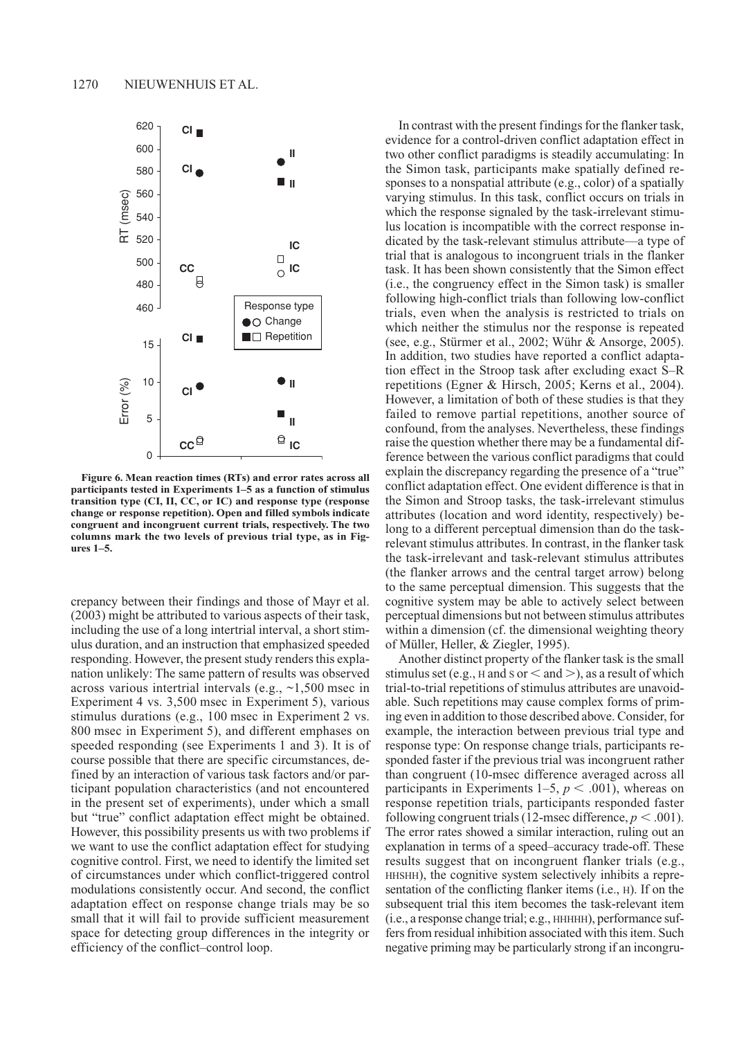

Figure 6. Mean reaction times (RTs) and error rates across all participants tested in Experiments 1-5 as a function of stimulus transition type (CI, II, CC, or IC) and response type (response change or response repetition). Open and filled symbols indicate congruent and incongruent current trials, respectively. The two columns mark the two levels of previous trial type, as in Figures  $1-5$ .

crepancy between their findings and those of Mayr et al. (2003) might be attributed to various aspects of their task, including the use of a long intertrial interval, a short stimulus duration, and an instruction that emphasized speeded responding. However, the present study renders this explanation unlikely: The same pattern of results was observed across various intertrial intervals (e.g.,  $\sim$ 1,500 msec in Experiment 4 vs. 3,500 msec in Experiment 5), various stimulus durations (e.g., 100 msec in Experiment 2 vs. 800 msec in Experiment 5), and different emphases on speeded responding (see Experiments 1 and 3). It is of course possible that there are specific circumstances, defined by an interaction of various task factors and/or participant population characteristics (and not encountered in the present set of experiments), under which a small but "true" conflict adaptation effect might be obtained. However, this possibility presents us with two problems if we want to use the conflict adaptation effect for studying cognitive control. First, we need to identify the limited set of circumstances under which conflict-triggered control modulations consistently occur. And second, the conflict adaptation effect on response change trials may be so small that it will fail to provide sufficient measurement space for detecting group differences in the integrity or efficiency of the conflict-control loop.

In contrast with the present findings for the flanker task. evidence for a control-driven conflict adaptation effect in two other conflict paradigms is steadily accumulating: In the Simon task, participants make spatially defined responses to a nonspatial attribute (e.g., color) of a spatially varying stimulus. In this task, conflict occurs on trials in which the response signaled by the task-irrelevant stimulus location is incompatible with the correct response indicated by the task-relevant stimulus attribute—a type of trial that is analogous to incongruent trials in the flanker task. It has been shown consistently that the Simon effect (i.e., the congruency effect in the Simon task) is smaller following high-conflict trials than following low-conflict trials, even when the analysis is restricted to trials on which neither the stimulus nor the response is repeated (see, e.g., Stürmer et al., 2002; Wühr & Ansorge, 2005). In addition, two studies have reported a conflict adaptation effect in the Stroop task after excluding exact S–R repetitions (Egner & Hirsch, 2005; Kerns et al., 2004). However, a limitation of both of these studies is that they failed to remove partial repetitions, another source of confound, from the analyses. Nevertheless, these findings raise the question whether there may be a fundamental difference between the various conflict paradigms that could explain the discrepancy regarding the presence of a "true" conflict adaptation effect. One evident difference is that in the Simon and Stroop tasks, the task-irrelevant stimulus attributes (location and word identity, respectively) belong to a different perceptual dimension than do the taskrelevant stimulus attributes. In contrast, in the flanker task the task-irrelevant and task-relevant stimulus attributes (the flanker arrows and the central target arrow) belong to the same perceptual dimension. This suggests that the cognitive system may be able to actively select between perceptual dimensions but not between stimulus attributes within a dimension (cf. the dimensional weighting theory of Müller, Heller, & Ziegler, 1995).

Another distinct property of the flanker task is the small stimulus set (e.g.,  $H$  and  $S$  or  $\leq$  and  $\geq$ ), as a result of which trial-to-trial repetitions of stimulus attributes are unavoidable. Such repetitions may cause complex forms of priming even in addition to those described above. Consider, for example, the interaction between previous trial type and response type: On response change trials, participants responded faster if the previous trial was incongruent rather than congruent (10-msec difference averaged across all participants in Experiments 1–5,  $p < .001$ ), whereas on response repetition trials, participants responded faster following congruent trials (12-msec difference,  $p < .001$ ). The error rates showed a similar interaction, ruling out an explanation in terms of a speed-accuracy trade-off. These results suggest that on incongruent flanker trials (e.g., HHSHH), the cognitive system selectively inhibits a representation of the conflicting flanker items (i.e., H). If on the subsequent trial this item becomes the task-relevant item (i.e., a response change trial; e.g., HHHHH), performance suffers from residual inhibition associated with this item. Such negative priming may be particularly strong if an incongru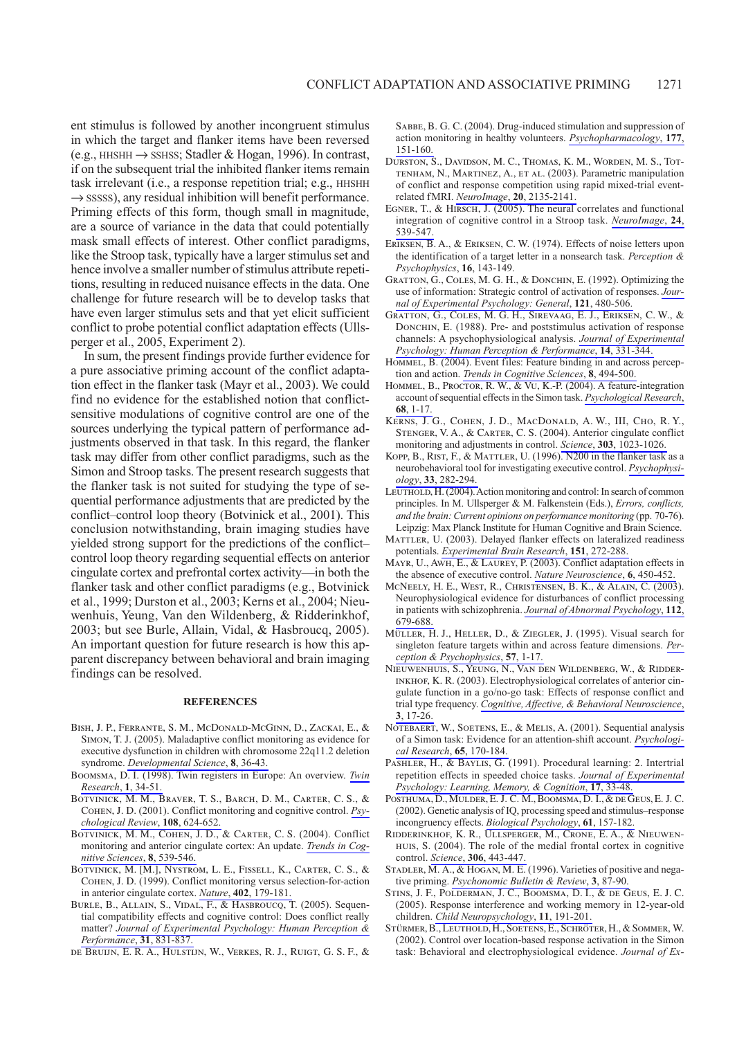ent stimulus is followed by another incongruent stimulus in which the target and flanker items have been reversed (e.g., HHSHH  $\rightarrow$  SSHSS; Stadler & Hogan, 1996). In contrast, if on the subsequent trial the inhibited flanker items remain task irrelevant (i.e., a response repetition trial; e.g., HHSHH  $\rightarrow$  sssss), any residual inhibition will benefit performance. Priming effects of this form, though small in magnitude, are a source of variance in the data that could potentially mask small effects of interest. Other conflict paradigms, like the Stroop task, typically have a larger stimulus set and hence involve a smaller number of stimulus attribute repetitions, resulting in reduced nuisance effects in the data. One challenge for future research will be to develop tasks that have even larger stimulus sets and that yet elicit sufficient conflict to probe potential conflict adaptation effects (Ullsperger et al., 2005, Experiment 2).

In sum, the present findings provide further evidence for a pure associative priming account of the conflict adaptation effect in the flanker task (Mayr et al., 2003). We could find no evidence for the established notion that conflictsensitive modulations of cognitive control are one of the sources underlying the typical pattern of performance adjustments observed in that task. In this regard, the flanker task may differ from other conflict paradigms, such as the Simon and Stroop tasks. The present research suggests that the flanker task is not suited for studying the type of sequential performance adjustments that are predicted by the conflict-control loop theory (Botvinick et al., 2001). This conclusion notwithstanding, brain imaging studies have yielded strong support for the predictions of the conflictcontrol loop theory regarding sequential effects on anterior cingulate cortex and prefrontal cortex activity—in both the flanker task and other conflict paradigms (e.g., Botvinick et al., 1999; Durston et al., 2003; Kerns et al., 2004; Nieuwenhuis, Yeung, Van den Wildenberg, & Ridderinkhof, 2003; but see Burle, Allain, Vidal, & Hasbroucq, 2005). An important question for future research is how this apparent discrepancy between behavioral and brain imaging findings can be resolved.

#### **REFERENCES**

- BISH, J. P., FERRANTE, S. M., MCDONALD-MCGINN, D., ZACKAI, E., & SIMON, T. J. (2005). Maladaptive conflict monitoring as evidence for executive dysfunction in children with chromosome 22q11.2 deletion syndrome. Developmental Science, 8, 36-43.
- BOOMSMA, D. I. (1998). Twin registers in Europe: An overview. Twin Research, 1, 34-51.
- BOTVINICK, M. M., BRAVER, T. S., BARCH, D. M., CARTER, C. S., & COHEN, J. D. (2001). Conflict monitoring and cognitive control. Psychological Review, 108, 624-652.
- BOTVINICK, M. M., COHEN, J. D., & CARTER, C. S. (2004). Conflict monitoring and anterior cingulate cortex: An update. Trends in Cognitive Sciences, 8, 539-546.
- BOTVINICK, M. [M.], NYSTROM, L. E., FISSELL, K., CARTER, C. S., & Сонем, J. D. (1999). Conflict monitoring versus selection-for-action in anterior cingulate cortex. Nature, 402, 179-181.
- BURLE, B., ALLAIN, S., VIDAL, F., & HASBROUCQ, T. (2005). Sequential compatibility effects and cognitive control: Does conflict really matter? Journal of Experimental Psychology: Human Perception & Performance, 31, 831-837.
- DE BRUIJN, E. R. A., HULSTIJN, W., VERKES, R. J., RUIGT, G. S. F., &

SABBE, B. G. C. (2004). Drug-induced stimulation and suppression of action monitoring in healthy volunteers. Psychopharmacology, 177,  $151 - 160.$ 

- DURSTON, S., DAVIDSON, M. C., THOMAS, K. M., WORDEN, M. S., TOT-TENHAM, N., MARTINEZ, A., ET AL. (2003). Parametric manipulation of conflict and response competition using rapid mixed-trial eventrelated fMRI. NeuroImage, 20, 2135-2141.
- EGNER T. & HIRSCH. I.  $(2005)$  The neural correlates and functional integration of cognitive control in a Stroop task. NeuroImage, 24. 539-547
- ERIKSEN, B. A., & ERIKSEN, C. W. (1974). Effects of noise letters upon the identification of a target letter in a nonsearch task. Perception & Psychophysics, 16, 143-149.
- GRATTON, G., COLES, M. G. H., & DONCHIN, E. (1992). Optimizing the use of information: Strategic control of activation of responses. Journal of Experimental Psychology: General, 121, 480-506.
- GRATTON, G., COLES, M. G. H., SIREVAAG, E. J., ERIKSEN, C. W., & DONCHIN, E. (1988). Pre- and poststimulus activation of response channels: A psychophysiological analysis. Journal of Experimental Psychology: Human Perception & Performance, 14, 331-344.
- HOMMEL, B. (2004). Event files: Feature binding in and across perception and action. Trends in Cognitive Sciences, 8, 494-500.
- HOMMEL, B., PROCTOR, R. W., & VU, K.-P. (2004). A feature-integration account of sequential effects in the Simon task. Psychological Research, 68, 1-17.
- KERNS, J. G., COHEN, J. D., MACDONALD, A. W., III, CHO, R. Y., STENGER, V. A., & CARTER, C. S. (2004). Anterior cingulate conflict monitoring and adjustments in control. Science, 303, 1023-1026.
- KOPP, B., RIST, F., & MATTLER, U. (1996). N200 in the flanker task as a neurobehavioral tool for investigating executive control. Psychophysiology, 33, 282-294.
- LEUTHOLD, H. (2004). Action monitoring and control: In search of common principles. In M. Ullsperger & M. Falkenstein (Eds.), Errors, conflicts, and the brain: Current opinions on performance monitoring (pp. 70-76). Leipzig: Max Planck Institute for Human Cognitive and Brain Science.
- MATTLER, U. (2003). Delayed flanker effects on lateralized readiness potentials. Experimental Brain Research, 151, 272-288.
- MAYR, U., AWH, E., & LAUREY, P. (2003). Conflict adaptation effects in the absence of executive control. Nature Neuroscience, 6, 450-452
- MCNEELY, H. E., WEST, R., CHRISTENSEN, B. K., & ALAIN, C. (2003). Neurophysiological evidence for disturbances of conflict processing in patients with schizophrenia. Journal of Abnormal Psychology, 112, 679-688.
- MÜLLER, H. J., HELLER, D., & ZIEGLER, J. (1995). Visual search for singleton feature targets within and across feature dimensions. Perception & Psychophysics, 57, 1-17.
- NIEUWENHUIS, S., YEUNG, N., VAN DEN WILDENBERG, W., & RIDDER-INKHOF, K. R. (2003). Electrophysiological correlates of anterior cingulate function in a go/no-go task: Effects of response conflict and trial type frequency. Cognitive, Affective, & Behavioral Neuroscience, 3, 17-26.
- NOTEBAERT, W., SOETENS, E., & MELIS, A. (2001). Sequential analysis of a Simon task: Evidence for an attention-shift account. Psychological Research, 65, 170-184.
- PASHLER, H., & BAYLIS, G. (1991). Procedural learning: 2. Intertrial repetition effects in speeded choice tasks. Journal of Experimental Psychology: Learning, Memory, & Cognition, 17, 33-48.
- POSTHUMA, D., MULDER, E. J. C. M., BOOMSMA, D. I., & DE GEUS, E. J. C. (2002). Genetic analysis of IQ, processing speed and stimulus-response incongruency effects. Biological Psychology, 61, 157-182.
- RIDDERINKHOF, K. R., ULLSPERGER, M., CRONE, E. A., & NIEUWEN-HUIS, S. (2004). The role of the medial frontal cortex in cognitive control. Science, 306, 443-447.
- STADLER, M. A., & HOGAN, M. E. (1996). Varieties of positive and negative priming. Psychonomic Bulletin & Review, 3, 87-90.
- STINS, J. F., POLDERMAN, J. C., BOOMSMA, D. I., & DE GEUS, E. J. C. (2005). Response interference and working memory in 12-year-old children. Child Neuropsychology, 11, 191-201.
- STÜRMER, B., LEUTHOLD, H., SOETENS, E., SCHRÖTER, H., & SOMMER, W. (2002). Control over location-based response activation in the Simon task: Behavioral and electrophysiological evidence. Journal of Ex-